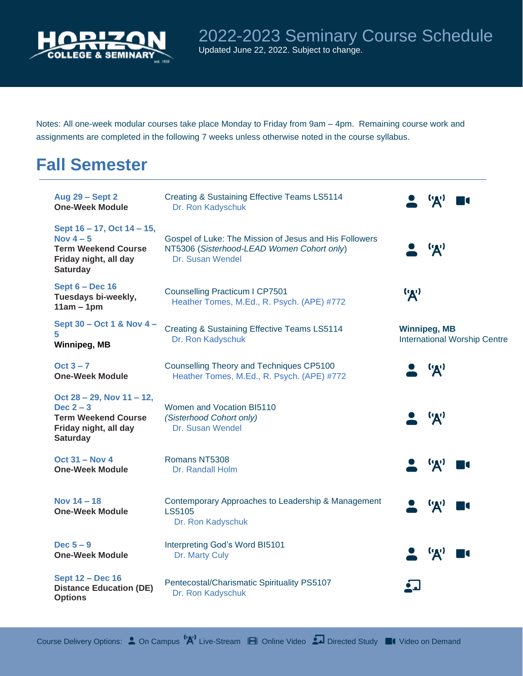

Notes: All one-week modular courses take place Monday to Friday from 9am – 4pm. Remaining course work and assignments are completed in the following 7 weeks unless otherwise noted in the course syllabus.

## **Fall Semester**

| <b>Aug 29 - Sept 2</b><br><b>One-Week Module</b>                                                                   | <b>Creating &amp; Sustaining Effective Teams LS5114</b><br>Dr. Ron Kadyschuk                                             | $(\mathbf{y})$                                             |
|--------------------------------------------------------------------------------------------------------------------|--------------------------------------------------------------------------------------------------------------------------|------------------------------------------------------------|
| Sept 16 – 17, Oct 14 – 15,<br>Nov $4-5$<br><b>Term Weekend Course</b><br>Friday night, all day<br><b>Saturday</b>  | Gospel of Luke: The Mission of Jesus and His Followers<br>NT5306 (Sisterhood-LEAD Women Cohort only)<br>Dr. Susan Wendel | ('A')                                                      |
| Sept $6 - Dec 16$<br>Tuesdays bi-weekly,<br>$11am - 1pm$                                                           | <b>Counselling Practicum I CP7501</b><br>Heather Tomes, M.Ed., R. Psych. (APE) #772                                      | ('A')                                                      |
| Sept 30 - Oct 1 & Nov 4 -<br>5<br>Winnipeg, MB                                                                     | <b>Creating &amp; Sustaining Effective Teams LS5114</b><br>Dr. Ron Kadyschuk                                             | <b>Winnipeg, MB</b><br><b>International Worship Centre</b> |
| Oct $3 - 7$<br><b>One-Week Module</b>                                                                              | Counselling Theory and Techniques CP5100<br>Heather Tomes, M.Ed., R. Psych. (APE) #772                                   | ('A')                                                      |
| Oct 28 - 29, Nov 11 - 12,<br>Dec $2 - 3$<br><b>Term Weekend Course</b><br>Friday night, all day<br><b>Saturday</b> | Women and Vocation BI5110<br>(Sisterhood Cohort only)<br>Dr. Susan Wendel                                                | ('A')                                                      |
| Oct $31 - Nov 4$<br><b>One-Week Module</b>                                                                         | Romans NT5308<br>Dr. Randall Holm                                                                                        | $\mathbf{A}$                                               |
| Nov $14 - 18$<br><b>One-Week Module</b>                                                                            | Contemporary Approaches to Leadership & Management<br>LS5105<br>Dr. Ron Kadyschuk                                        | ('A')                                                      |
| Dec $5-9$<br><b>One-Week Module</b>                                                                                | Interpreting God's Word BI5101<br>Dr. Marty Culy                                                                         | ('A')                                                      |
| <b>Sept 12 - Dec 16</b><br><b>Distance Education (DE)</b><br><b>Options</b>                                        | Pentecostal/Charismatic Spirituality PS5107<br>Dr. Ron Kadyschuk                                                         |                                                            |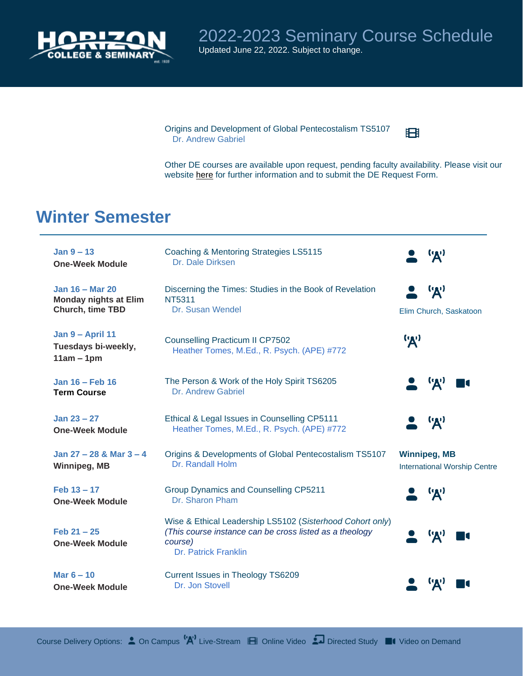

2022-2023 Seminary Course Schedule Updated June 22, 2022. Subject to change.

Origins and Development of Global Pentecostalism TS5107 Dr. Andrew Gabriel

Other DE courses are available upon request, pending faculty availability. Please visit our website [here](https://www.horizon.edu/admissions/distance-education/) for further information and to submit the DE Request Form.

田

## **Winter Semester**

| Jan $9 - 13$<br><b>One-Week Module</b>                                     | <b>Coaching &amp; Mentoring Strategies LS5115</b><br>Dr. Dale Dirksen                                                                                   | $\mathbf{A}$                                               |
|----------------------------------------------------------------------------|---------------------------------------------------------------------------------------------------------------------------------------------------------|------------------------------------------------------------|
| <b>Jan 16 - Mar 20</b><br><b>Monday nights at Elim</b><br>Church, time TBD | Discerning the Times: Studies in the Book of Revelation<br>NT5311<br>Dr. Susan Wendel                                                                   | ('A')<br>Elim Church, Saskatoon                            |
| Jan 9 - April 11<br>Tuesdays bi-weekly,<br>$11am - 1pm$                    | <b>Counselling Practicum II CP7502</b><br>Heather Tomes, M.Ed., R. Psych. (APE) #772                                                                    | ('A')                                                      |
| Jan 16 - Feb 16<br><b>Term Course</b>                                      | The Person & Work of the Holy Spirit TS6205<br>Dr. Andrew Gabriel                                                                                       | 'A'                                                        |
| Jan $23 - 27$<br><b>One-Week Module</b>                                    | Ethical & Legal Issues in Counselling CP5111<br>Heather Tomes, M.Ed., R. Psych. (APE) #772                                                              | ('A')                                                      |
| Jan $27 - 28$ & Mar $3 - 4$<br>Winnipeg, MB                                | Origins & Developments of Global Pentecostalism TS5107<br>Dr. Randall Holm                                                                              | <b>Winnipeg, MB</b><br><b>International Worship Centre</b> |
| $Feb 13 - 17$<br><b>One-Week Module</b>                                    | <b>Group Dynamics and Counselling CP5211</b><br>Dr. Sharon Pham                                                                                         | $\mathbf{R}^{\prime}$                                      |
| $Feb 21 - 25$<br><b>One-Week Module</b>                                    | Wise & Ethical Leadership LS5102 (Sisterhood Cohort only)<br>(This course instance can be cross listed as a theology<br>course)<br>Dr. Patrick Franklin | ('A')                                                      |
| Mar $6 - 10$<br><b>One-Week Module</b>                                     | <b>Current Issues in Theology TS6209</b><br>Dr. Jon Stovell                                                                                             |                                                            |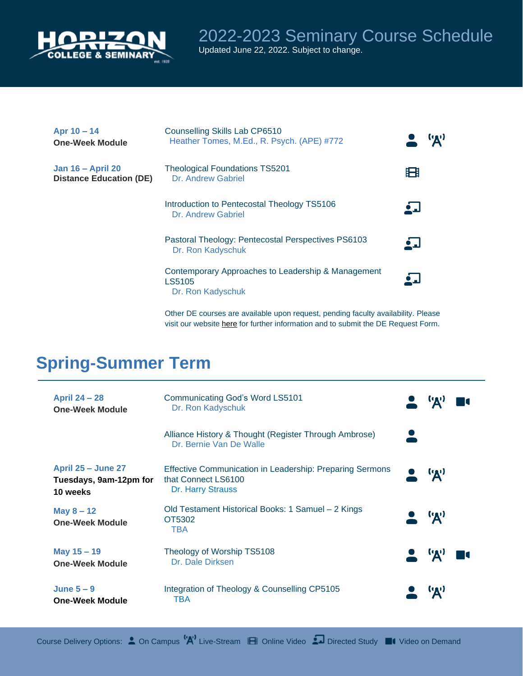

| Apr $10 - 14$<br><b>One-Week Module</b>                    | <b>Counselling Skills Lab CP6510</b><br>Heather Tomes, M.Ed., R. Psych. (APE) #772 | ('A')      |
|------------------------------------------------------------|------------------------------------------------------------------------------------|------------|
| <b>Jan 16 - April 20</b><br><b>Distance Education (DE)</b> | <b>Theological Foundations TS5201</b><br>Dr. Andrew Gabriel                        | 田          |
|                                                            | Introduction to Pentecostal Theology TS5106<br>Dr. Andrew Gabriel                  | ᅀᆚ         |
|                                                            | Pastoral Theology: Pentecostal Perspectives PS6103<br>Dr. Ron Kadyschuk            | <u>і Л</u> |
|                                                            | Contemporary Approaches to Leadership & Management<br>LS5105<br>Dr. Ron Kadyschuk  |            |

Other DE courses are available upon request, pending faculty availability. Please visit our website [here](https://www.horizon.edu/admissions/distance-education/) for further information and to submit the DE Request Form.

## **Spring-Summer Term**

| <b>April 24 – 28</b><br><b>One-Week Module</b>                  | <b>Communicating God's Word LS5101</b><br>Dr. Ron Kadyschuk                                                 |                          |
|-----------------------------------------------------------------|-------------------------------------------------------------------------------------------------------------|--------------------------|
|                                                                 | Alliance History & Thought (Register Through Ambrose)<br>Dr. Bernie Van De Walle                            |                          |
| <b>April 25 – June 27</b><br>Tuesdays, 9am-12pm for<br>10 weeks | <b>Effective Communication in Leadership: Preparing Sermons</b><br>that Connect LS6100<br>Dr. Harry Strauss | $\bullet$ $\mathcal{A}'$ |
| May $8 - 12$<br><b>One-Week Module</b>                          | Old Testament Historical Books: 1 Samuel - 2 Kings<br>OT5302<br>TBA                                         | $\bullet$ $\mathcal{A}'$ |
| May 15 - 19<br><b>One-Week Module</b>                           | Theology of Worship TS5108<br>Dr. Dale Dirksen                                                              | $\bullet$ $\mathbf{R}$   |
| June $5-9$<br><b>One-Week Module</b>                            | Integration of Theology & Counselling CP5105<br>TBA                                                         | $\mathbf{A}$             |